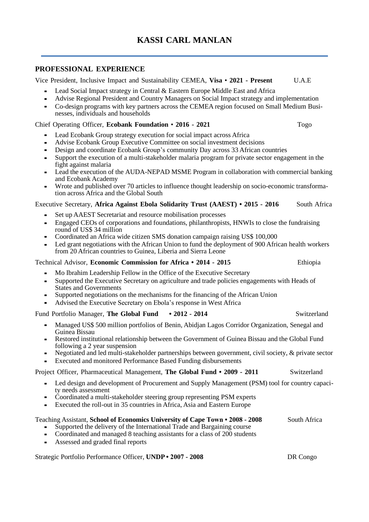# **PROFESSIONAL EXPERIENCE**

Vice President, Inclusive Impact and Sustainability CEMEA, **Visa** • **2021 - Present** U.A.E

- Lead Social Impact strategy in Central & Eastern Europe Middle East and Africa
- Advise Regional President and Country Managers on Social Impact strategy and implementation
- Co-design programs with key partners across the CEMEA region focused on Small Medium Businesses, individuals and households

#### Chief Operating Officer, **Ecobank Foundation** • **2016 - 2021** Togo

- Lead Ecobank Group strategy execution for social impact across Africa
- Advise Ecobank Group Executive Committee on social investment decisions
- Design and coordinate Ecobank Group's community Day across 33 African countries
- Support the execution of a multi-stakeholder malaria program for private sector engagement in the fight against malaria
- Lead the execution of the AUDA-NEPAD MSME Program in collaboration with commercial banking and Ecobank Academy
- Wrote and published over 70 articles to influence thought leadership on socio-economic transformation across Africa and the Global South

### Executive Secretary, **Africa Against Ebola Solidarity Trust (AAEST) • 2015 - 2016** South Africa

- Set up AAEST Secretariat and resource mobilisation processes
- Engaged CEOs of corporations and foundations, philanthropists, HNWIs to close the fundraising round of US\$ 34 million
- Coordinated an Africa wide citizen SMS donation campaign raising US\$ 100,000
- Led grant negotiations with the African Union to fund the deployment of 900 African health workers from 20 African countries to Guinea, Liberia and Sierra Leone

### Technical Advisor, **Economic Commission for Africa • 2014 - 2015** Ethiopia

- Mo Ibrahim Leadership Fellow in the Office of the Executive Secretary
- Supported the Executive Secretary on agriculture and trade policies engagements with Heads of States and Governments
- Supported negotiations on the mechanisms for the financing of the African Union
- Advised the Executive Secretary on Ebola's response in West Africa

#### Fund Portfolio Manager, **The Global Fund • 2012 - 2014** Switzerland

- Managed US\$ 500 million portfolios of Benin, Abidjan Lagos Corridor Organization, Senegal and Guinea Bissau
- Restored institutional relationship between the Government of Guinea Bissau and the Global Fund following a 2 year suspension
- Negotiated and led multi-stakeholder partnerships between government, civil society, & private sector
- **Executed and monitored Performance Based Funding disbursements**

### Project Officer, Pharmaceutical Management, **The Global Fund • 2009 - 2011** Switzerland

- Led design and development of Procurement and Supply Management (PSM) tool for country capacity needs assessment
- Coordinated a multi-stakeholder steering group representing PSM experts
- Executed the roll-out in 35 countries in Africa, Asia and Eastern Europe

#### Teaching Assistant, **School of Economics University of Cape Town • 2008 - 2008** South Africa

- Supported the delivery of the International Trade and Bargaining course
- Coordinated and managed 8 teaching assistants for a class of 200 students
- Assessed and graded final reports

Strategic Portfolio Performance Officer, **UNDP • 2007 - 2008** DR Congo